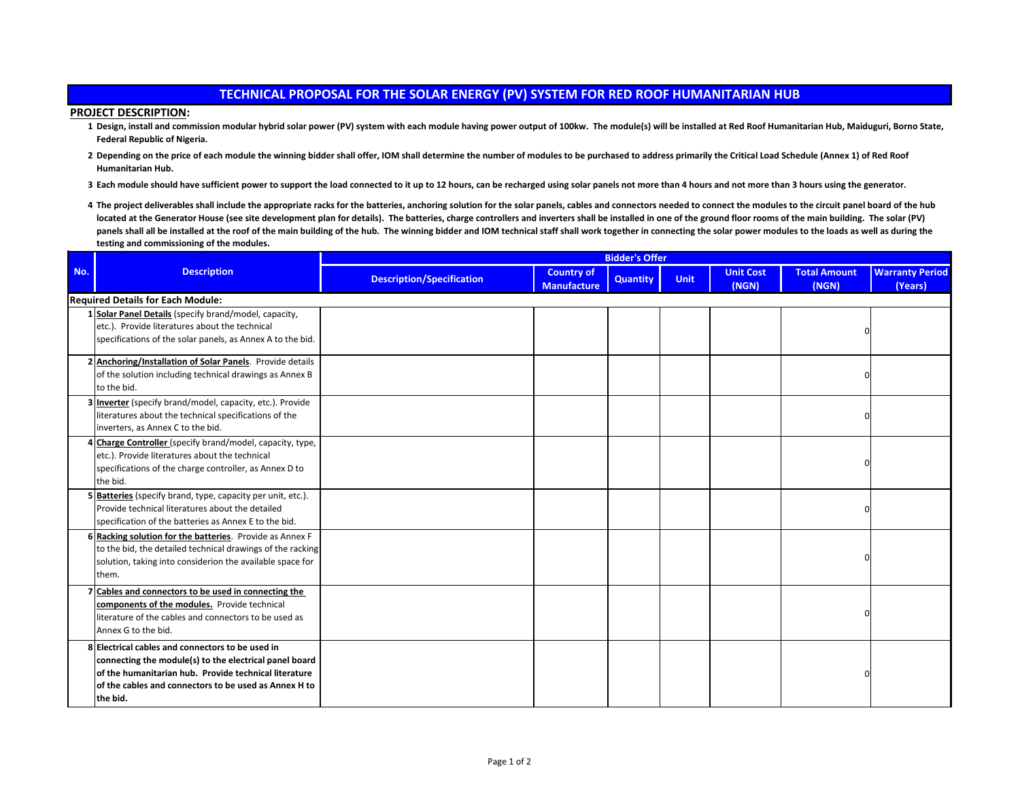## **TECHNICAL PROPOSAL FOR THE SOLAR ENERGY (PV) SYSTEM FOR RED ROOF HUMANITARIAN HUB**

## **PROJECT DESCRIPTION:**

- **1 Design, install and commission modular hybrid solar power (PV) system with each module having power output of 100kw. The module(s) will be installed at Red Roof Humanitarian Hub, Maiduguri, Borno State, Federal Republic of Nigeria.**
- **2 Depending on the price of each module the winning bidder shall offer, IOM shall determine the number of modules to be purchased to address primarily the Critical Load Schedule (Annex 1) of Red Roof Humanitarian Hub.**
- **3 Each module should have sufficient power to support the load connected to it up to 12 hours, can be recharged using solar panels not more than 4 hours and not more than 3 hours using the generator.**
- 4 The project deliverables shall include the appropriate racks for the batteries, anchoring solution for the solar panels, cables and connectors needed to connect the modules to the circuit panel board of the hub located at the Generator House (see site development plan for details). The batteries, charge controllers and inverters shall be installed in one of the ground floor rooms of the main building. The solar (PV) panels shall all be installed at the roof of the main building of the hub. The winning bidder and IOM technical staff shall work together in connecting the solar power modules to the loads as well as during the **testing and commissioning of the modules.**

| No. | <b>Description</b>                                                                                                                                                                                                                       | <b>Bidder's Offer</b>            |                                         |                 |             |                           |                              |                                   |  |
|-----|------------------------------------------------------------------------------------------------------------------------------------------------------------------------------------------------------------------------------------------|----------------------------------|-----------------------------------------|-----------------|-------------|---------------------------|------------------------------|-----------------------------------|--|
|     |                                                                                                                                                                                                                                          | <b>Description/Specification</b> | <b>Country of</b><br><b>Manufacture</b> | <b>Quantity</b> | <b>Unit</b> | <b>Unit Cost</b><br>(NGN) | <b>Total Amount</b><br>(NGN) | <b>Warranty Period</b><br>(Years) |  |
|     | <b>Required Details for Each Module:</b>                                                                                                                                                                                                 |                                  |                                         |                 |             |                           |                              |                                   |  |
|     | 1 Solar Panel Details (specify brand/model, capacity,<br>etc.). Provide literatures about the technical<br>specifications of the solar panels, as Annex A to the bid.                                                                    |                                  |                                         |                 |             |                           | n                            |                                   |  |
|     | 2 Anchoring/Installation of Solar Panels. Provide details<br>of the solution including technical drawings as Annex B<br>to the bid.                                                                                                      |                                  |                                         |                 |             |                           |                              |                                   |  |
|     | Inverter (specify brand/model, capacity, etc.). Provide<br>literatures about the technical specifications of the<br>inverters, as Annex C to the bid.                                                                                    |                                  |                                         |                 |             |                           |                              |                                   |  |
|     | Charge Controller (specify brand/model, capacity, type,<br>etc.). Provide literatures about the technical<br>specifications of the charge controller, as Annex D to<br>the bid.                                                          |                                  |                                         |                 |             |                           |                              |                                   |  |
|     | 5 Batteries (specify brand, type, capacity per unit, etc.).<br>Provide technical literatures about the detailed<br>specification of the batteries as Annex E to the bid.                                                                 |                                  |                                         |                 |             |                           |                              |                                   |  |
|     | 6 Racking solution for the batteries. Provide as Annex F<br>to the bid, the detailed technical drawings of the racking<br>solution, taking into considerion the available space for<br>them.                                             |                                  |                                         |                 |             |                           |                              |                                   |  |
|     | Cables and connectors to be used in connecting the<br>components of the modules. Provide technical<br>literature of the cables and connectors to be used as<br>Annex G to the bid.                                                       |                                  |                                         |                 |             |                           |                              |                                   |  |
|     | 8 Electrical cables and connectors to be used in<br>connecting the module(s) to the electrical panel board<br>of the humanitarian hub. Provide technical literature<br>of the cables and connectors to be used as Annex H to<br>the bid. |                                  |                                         |                 |             |                           |                              |                                   |  |